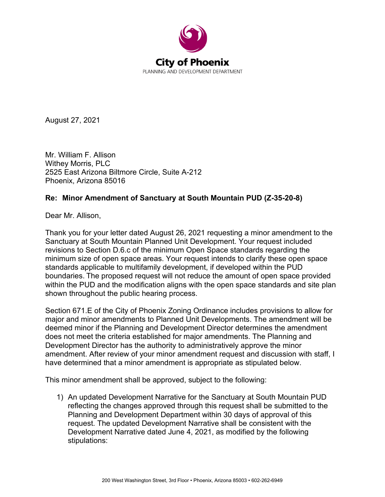

August 27, 2021

Mr. William F. Allison Withey Morris, PLC 2525 East Arizona Biltmore Circle, Suite A-212 Phoenix, Arizona 85016

## **Re: Minor Amendment of Sanctuary at South Mountain PUD (Z-35-20-8)**

Dear Mr. Allison,

Thank you for your letter dated August 26, 2021 requesting a minor amendment to the Sanctuary at South Mountain Planned Unit Development. Your request included revisions to Section D.6.c of the minimum Open Space standards regarding the minimum size of open space areas. Your request intends to clarify these open space standards applicable to multifamily development, if developed within the PUD boundaries. The proposed request will not reduce the amount of open space provided within the PUD and the modification aligns with the open space standards and site plan shown throughout the public hearing process.

Section 671.E of the City of Phoenix Zoning Ordinance includes provisions to allow for major and minor amendments to Planned Unit Developments. The amendment will be deemed minor if the Planning and Development Director determines the amendment does not meet the criteria established for major amendments. The Planning and Development Director has the authority to administratively approve the minor amendment. After review of your minor amendment request and discussion with staff, I have determined that a minor amendment is appropriate as stipulated below.

This minor amendment shall be approved, subject to the following:

1) An updated Development Narrative for the Sanctuary at South Mountain PUD reflecting the changes approved through this request shall be submitted to the Planning and Development Department within 30 days of approval of this request. The updated Development Narrative shall be consistent with the Development Narrative dated June 4, 2021, as modified by the following stipulations: